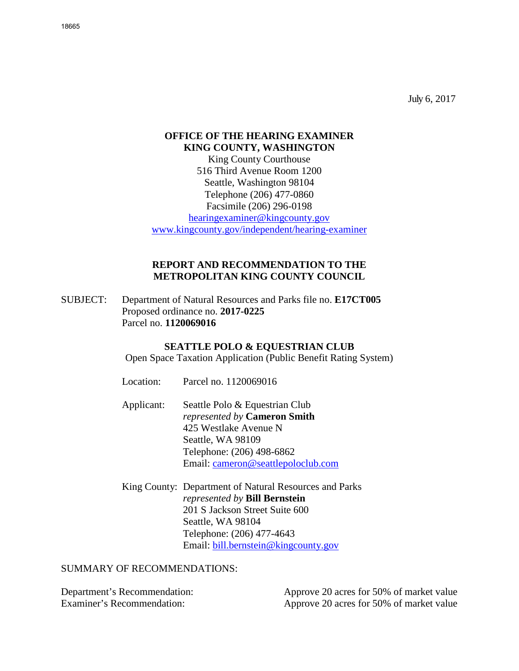July 6, 2017

# **OFFICE OF THE HEARING EXAMINER KING COUNTY, WASHINGTON**

King County Courthouse 516 Third Avenue Room 1200 Seattle, Washington 98104 Telephone (206) 477-0860 Facsimile (206) 296-0198 [hearingexaminer@kingcounty.gov](mailto:hearingexaminer@kingcounty.gov) [www.kingcounty.gov/independent/hearing-examiner](http://www.kingcounty.gov/independent/hearing-examiner)

### **REPORT AND RECOMMENDATION TO THE METROPOLITAN KING COUNTY COUNCIL**

SUBJECT: Department of Natural Resources and Parks file no. **E17CT005**  Proposed ordinance no. **2017-0225**  Parcel no. **1120069016**

# **SEATTLE POLO & EQUESTRIAN CLUB**

Open Space Taxation Application (Public Benefit Rating System)

| Location:  | Parcel no. 1120069016                                                                                                                                                                  |
|------------|----------------------------------------------------------------------------------------------------------------------------------------------------------------------------------------|
| Applicant: | Seattle Polo & Equestrian Club<br><i>represented by Cameron Smith</i><br>425 Westlake Avenue N<br>Seattle, WA 98109<br>Telephone: (206) 498-6862<br>Email: cameron@seattlepoloclub.com |
|            | King County: Department of Natural Resources and Parks                                                                                                                                 |

*represented by* **Bill Bernstein** 201 S Jackson Street Suite 600 Seattle, WA 98104 Telephone: (206) 477-4643 Email: [bill.bernstein@kingcounty.gov](mailto:bill.bernstein@kingcounty.gov)

# SUMMARY OF RECOMMENDATIONS:

Department's Recommendation: Approve 20 acres for 50% of market value

Examiner's Recommendation: Approve 20 acres for 50% of market value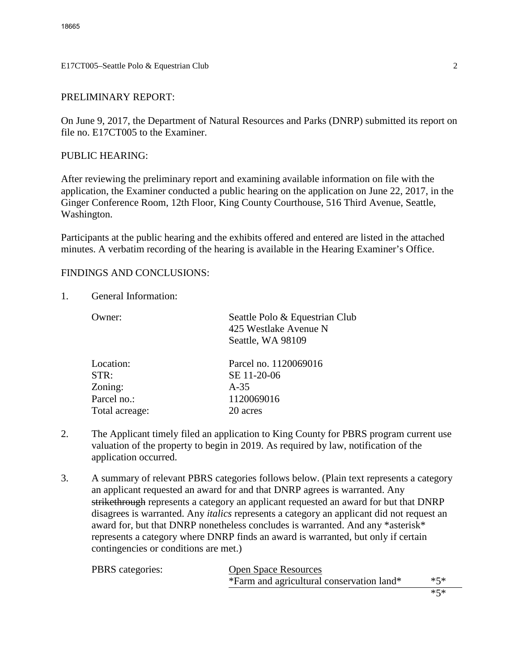E17CT005–Seattle Polo & Equestrian Club 2

# PRELIMINARY REPORT:

On June 9, 2017, the Department of Natural Resources and Parks (DNRP) submitted its report on file no. E17CT005 to the Examiner.

### PUBLIC HEARING:

After reviewing the preliminary report and examining available information on file with the application, the Examiner conducted a public hearing on the application on June 22, 2017, in the Ginger Conference Room, 12th Floor, King County Courthouse, 516 Third Avenue, Seattle, Washington.

Participants at the public hearing and the exhibits offered and entered are listed in the attached minutes. A verbatim recording of the hearing is available in the Hearing Examiner's Office.

# FINDINGS AND CONCLUSIONS:

1. General Information:

| ()wner:        | Seattle Polo & Equestrian Club<br>425 Westlake Avenue N<br>Seattle, WA 98109 |
|----------------|------------------------------------------------------------------------------|
| Location:      | Parcel no. 1120069016                                                        |
| STR:           | SE 11-20-06                                                                  |
| Zoning:        | $A-35$                                                                       |
| Parcel no.:    | 1120069016                                                                   |
| Total acreage: | 20 acres                                                                     |
|                |                                                                              |

- 2. The Applicant timely filed an application to King County for PBRS program current use valuation of the property to begin in 2019. As required by law, notification of the application occurred.
- 3. A summary of relevant PBRS categories follows below. (Plain text represents a category an applicant requested an award for and that DNRP agrees is warranted. Any strikethrough represents a category an applicant requested an award for but that DNRP disagrees is warranted. Any *italics* represents a category an applicant did not request an award for, but that DNRP nonetheless concludes is warranted. And any \*asterisk\* represents a category where DNRP finds an award is warranted, but only if certain contingencies or conditions are met.)

| <b>PBRS</b> categories: | <b>Open Space Resources</b>               |     |
|-------------------------|-------------------------------------------|-----|
|                         | *Farm and agricultural conservation land* | ∗ร∗ |
|                         |                                           |     |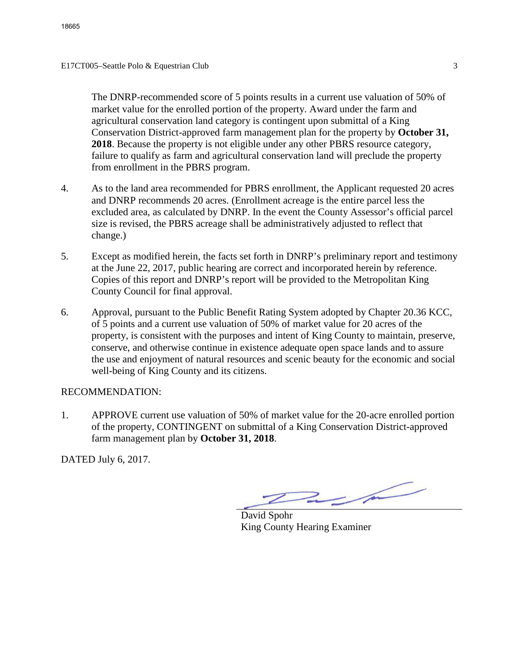The DNRP-recommended score of 5 points results in a current use valuation of 50% of market value for the enrolled portion of the property. Award under the farm and agricultural conservation land category is contingent upon submittal of a King Conservation District-approved farm management plan for the property by **October 31, 2018**. Because the property is not eligible under any other PBRS resource category, failure to qualify as farm and agricultural conservation land will preclude the property from enrollment in the PBRS program.

- 4. As to the land area recommended for PBRS enrollment, the Applicant requested 20 acres and DNRP recommends 20 acres. (Enrollment acreage is the entire parcel less the excluded area, as calculated by DNRP. In the event the County Assessor's official parcel size is revised, the PBRS acreage shall be administratively adjusted to reflect that change.)
- 5. Except as modified herein, the facts set forth in DNRP's preliminary report and testimony at the June 22, 2017, public hearing are correct and incorporated herein by reference. Copies of this report and DNRP's report will be provided to the Metropolitan King County Council for final approval.
- 6. Approval, pursuant to the Public Benefit Rating System adopted by Chapter 20.36 KCC, of 5 points and a current use valuation of 50% of market value for 20 acres of the property, is consistent with the purposes and intent of King County to maintain, preserve, conserve, and otherwise continue in existence adequate open space lands and to assure the use and enjoyment of natural resources and scenic beauty for the economic and social well-being of King County and its citizens.

#### RECOMMENDATION:

1. APPROVE current use valuation of 50% of market value for the 20-acre enrolled portion of the property, CONTINGENT on submittal of a King Conservation District-approved farm management plan by **October 31, 2018**.

DATED July 6, 2017.

 $2/2$ 

David Spohr King County Hearing Examiner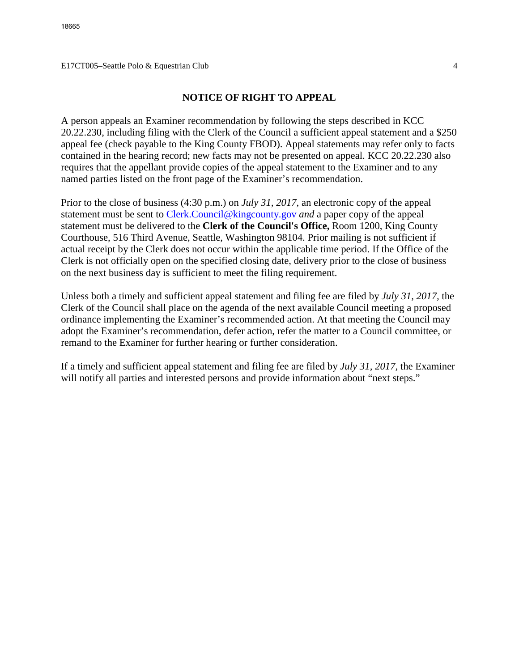#### E17CT005–Seattle Polo & Equestrian Club 4

# **NOTICE OF RIGHT TO APPEAL**

A person appeals an Examiner recommendation by following the steps described in KCC 20.22.230, including filing with the Clerk of the Council a sufficient appeal statement and a \$250 appeal fee (check payable to the King County FBOD). Appeal statements may refer only to facts contained in the hearing record; new facts may not be presented on appeal. KCC 20.22.230 also requires that the appellant provide copies of the appeal statement to the Examiner and to any named parties listed on the front page of the Examiner's recommendation.

Prior to the close of business (4:30 p.m.) on *July 31, 2017,* an electronic copy of the appeal statement must be sent to [Clerk.Council@kingcounty.gov](mailto:Clerk.Council@kingcounty.gov) *and* a paper copy of the appeal statement must be delivered to the **Clerk of the Council's Office,** Room 1200, King County Courthouse, 516 Third Avenue, Seattle, Washington 98104. Prior mailing is not sufficient if actual receipt by the Clerk does not occur within the applicable time period. If the Office of the Clerk is not officially open on the specified closing date, delivery prior to the close of business on the next business day is sufficient to meet the filing requirement.

Unless both a timely and sufficient appeal statement and filing fee are filed by *July 31, 2017,* the Clerk of the Council shall place on the agenda of the next available Council meeting a proposed ordinance implementing the Examiner's recommended action. At that meeting the Council may adopt the Examiner's recommendation, defer action, refer the matter to a Council committee, or remand to the Examiner for further hearing or further consideration.

If a timely and sufficient appeal statement and filing fee are filed by *July 31, 2017,* the Examiner will notify all parties and interested persons and provide information about "next steps."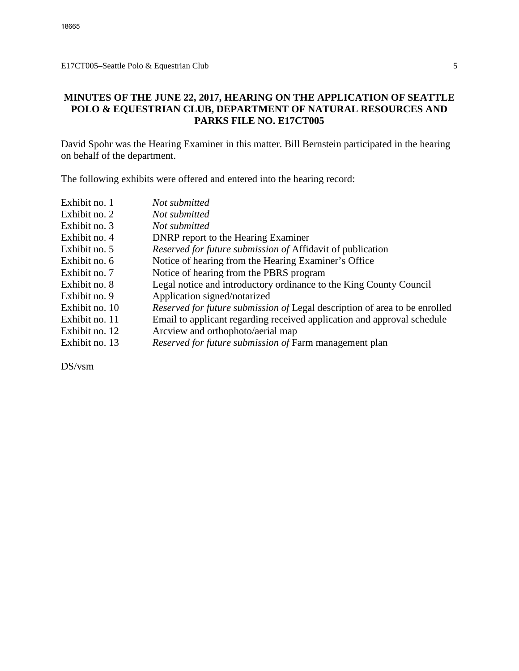# **MINUTES OF THE JUNE 22, 2017, HEARING ON THE APPLICATION OF SEATTLE POLO & EQUESTRIAN CLUB, DEPARTMENT OF NATURAL RESOURCES AND PARKS FILE NO. E17CT005**

David Spohr was the Hearing Examiner in this matter. Bill Bernstein participated in the hearing on behalf of the department.

The following exhibits were offered and entered into the hearing record:

| Exhibit no. 1  | Not submitted                                                              |
|----------------|----------------------------------------------------------------------------|
| Exhibit no. 2  | Not submitted                                                              |
| Exhibit no. 3  | Not submitted                                                              |
| Exhibit no. 4  | <b>DNRP</b> report to the Hearing Examiner                                 |
| Exhibit no. 5  | Reserved for future submission of Affidavit of publication                 |
| Exhibit no. 6  | Notice of hearing from the Hearing Examiner's Office                       |
| Exhibit no. 7  | Notice of hearing from the PBRS program                                    |
| Exhibit no. 8  | Legal notice and introductory ordinance to the King County Council         |
| Exhibit no. 9  | Application signed/notarized                                               |
| Exhibit no. 10 | Reserved for future submission of Legal description of area to be enrolled |
| Exhibit no. 11 | Email to applicant regarding received application and approval schedule    |
| Exhibit no. 12 | Arcview and orthophoto/aerial map                                          |
| Exhibit no. 13 | Reserved for future submission of Farm management plan                     |
|                |                                                                            |

DS/vsm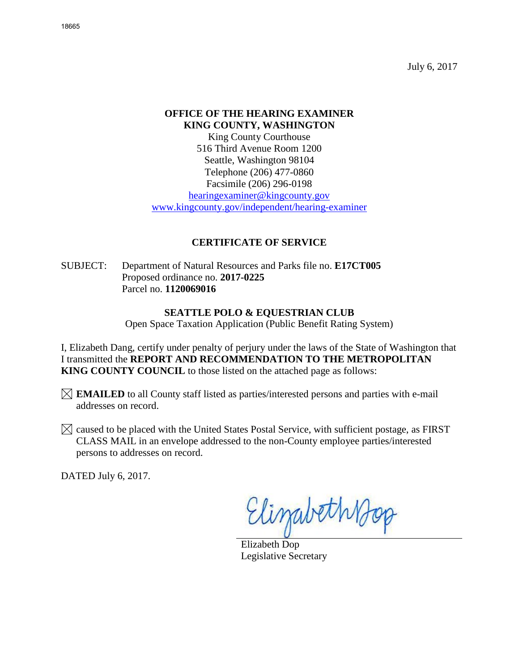July 6, 2017

# **OFFICE OF THE HEARING EXAMINER KING COUNTY, WASHINGTON**

King County Courthouse 516 Third Avenue Room 1200 Seattle, Washington 98104 Telephone (206) 477-0860 Facsimile (206) 296-0198 [hearingexaminer@kingcounty.gov](mailto:hearingexaminer@kingcounty.gov)

[www.kingcounty.gov/independent/hearing-examiner](http://www.kingcounty.gov/independent/hearing-examiner)

# **CERTIFICATE OF SERVICE**

SUBJECT: Department of Natural Resources and Parks file no. **E17CT005**  Proposed ordinance no. **2017-0225**  Parcel no. **1120069016**

### **SEATTLE POLO & EQUESTRIAN CLUB**

Open Space Taxation Application (Public Benefit Rating System)

I, Elizabeth Dang, certify under penalty of perjury under the laws of the State of Washington that I transmitted the **REPORT AND RECOMMENDATION TO THE METROPOLITAN KING COUNTY COUNCIL** to those listed on the attached page as follows:

**EMAILED** to all County staff listed as parties/interested persons and parties with e-mail addresses on record.

 $\boxtimes$  caused to be placed with the United States Postal Service, with sufficient postage, as FIRST CLASS MAIL in an envelope addressed to the non-County employee parties/interested persons to addresses on record.

DATED July 6, 2017.

Elizabeth Bop

Elizabeth Dop Legislative Secretary